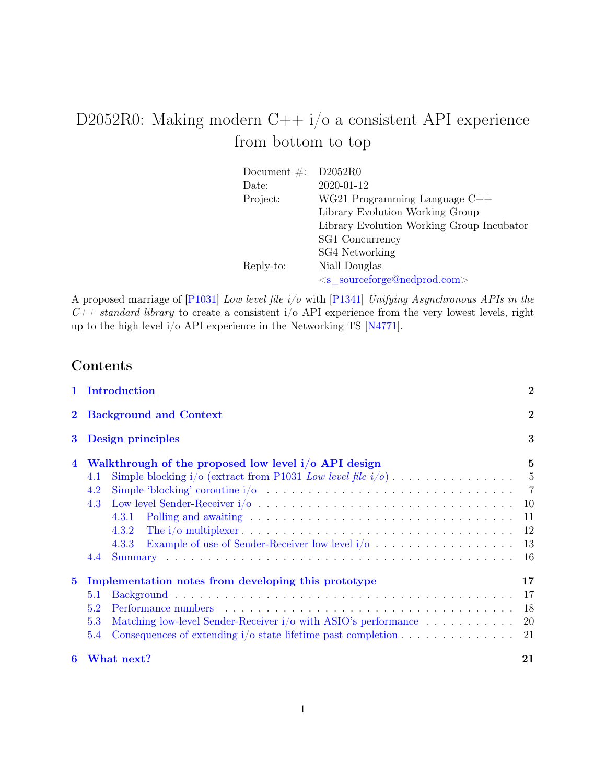# D2052R0: Making modern  $C++i/\sigma$  a consistent API experience from bottom to top

| Document $\#$ : | D2052R0                                   |
|-----------------|-------------------------------------------|
| Date:           | 2020-01-12                                |
| Project:        | WG21 Programming Language $C++$           |
|                 | Library Evolution Working Group           |
|                 | Library Evolution Working Group Incubator |
|                 | SG1 Concurrency                           |
|                 | SG4 Networking                            |
| Reply-to:       | Niall Douglas                             |
|                 | $\leq$ s sourceforge@nedprod.com>         |

A proposed marriage of [\[P1031\]](#page-21-0) Low level file i/o with [\[P1341\]](#page-21-1) Unifying Asynchronous APIs in the  $C++$  standard library to create a consistent i/o API experience from the very lowest levels, right up to the high level i/o API experience in the Networking TS [\[N4771\]](#page-21-2).

## Contents

|                                                                                                                                                                                                                | 1 Introduction<br><b>Background and Context</b>                                                                                                                                                                                                                                                                                                                                                                                                                 |                |
|----------------------------------------------------------------------------------------------------------------------------------------------------------------------------------------------------------------|-----------------------------------------------------------------------------------------------------------------------------------------------------------------------------------------------------------------------------------------------------------------------------------------------------------------------------------------------------------------------------------------------------------------------------------------------------------------|----------------|
| $\mathbf{2}$                                                                                                                                                                                                   |                                                                                                                                                                                                                                                                                                                                                                                                                                                                 |                |
| Design principles<br>$\bf{3}$<br>Walkthrough of the proposed low level i/o API design<br>4<br>4.1<br>4.2<br>4.3<br>4.3.1<br>4.3.2<br>Example of use of Sender-Receiver low level $i/\sigma$ 13<br>4.3.3<br>4.4 |                                                                                                                                                                                                                                                                                                                                                                                                                                                                 | 3              |
|                                                                                                                                                                                                                |                                                                                                                                                                                                                                                                                                                                                                                                                                                                 | $\overline{5}$ |
| $\bf{5}$                                                                                                                                                                                                       | Implementation notes from developing this prototype<br>5.1<br>Performance numbers entertainment of the new state of the new state of the new state of the new state of the new state of the new state of the new state of the new state of the new state of the new state of the new state o<br>5.2<br>Matching low-level Sender-Receiver i/o with ASIO's performance 20<br>5.3<br>Consequences of extending $i/\circ$ state lifetime past completion 21<br>5.4 | $17\,$         |
| 6                                                                                                                                                                                                              | What next?                                                                                                                                                                                                                                                                                                                                                                                                                                                      | 21             |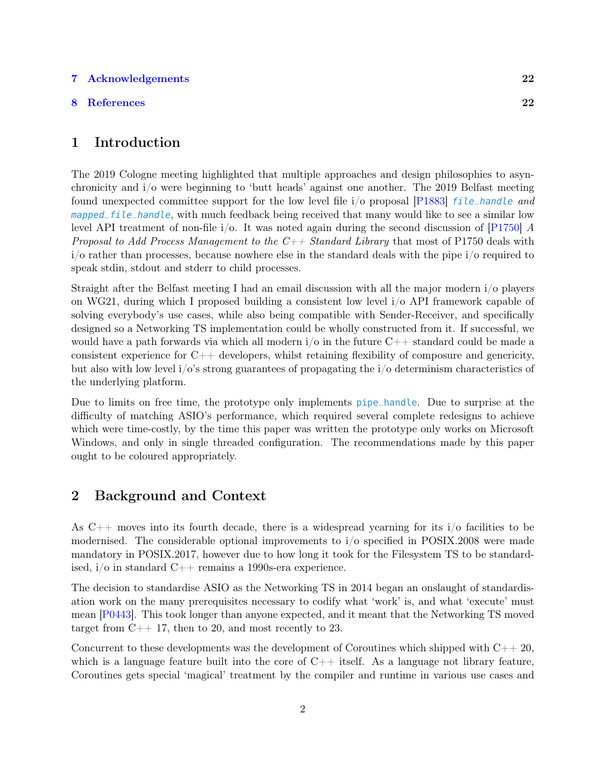#### [7 Acknowledgements](#page-21-3) 22

#### [8 References](#page-21-4) 22

## <span id="page-1-0"></span>1 Introduction

The 2019 Cologne meeting highlighted that multiple approaches and design philosophies to asynchronicity and i/o were beginning to 'butt heads' against one another. The 2019 Belfast meeting found unexpected committee support for the low level file  $i$ /o proposal [\[P1883\]](#page-22-0) *file\_handle and* mapped\_file\_handle, with much feedback being received that many would like to see a similar low level API treatment of non-file  $i/\circ$ . It was noted again during the second discussion of [\[P1750\]](#page-22-1) A Proposal to Add Process Management to the  $C_{++}$  Standard Library that most of P1750 deals with  $i$  is quite than processes, because nowhere else in the standard deals with the pipe  $i$  or required to speak stdin, stdout and stderr to child processes.

Straight after the Belfast meeting I had an email discussion with all the major modern i/o players on WG21, during which I proposed building a consistent low level i/o API framework capable of solving everybody's use cases, while also being compatible with Sender-Receiver, and specifically designed so a Networking TS implementation could be wholly constructed from it. If successful, we would have a path forwards via which all modern  $i$ /o in the future  $C++$  standard could be made a consistent experience for  $C++$  developers, whilst retaining flexibility of composure and genericity, but also with low level  $i/\text{o}'s$  strong guarantees of propagating the  $i/\text{o}$  determinism characteristics of the underlying platform.

Due to limits on free time, the prototype only implements pipe\_handle. Due to surprise at the difficulty of matching ASIO's performance, which required several complete redesigns to achieve which were time-costly, by the time this paper was written the prototype only works on Microsoft Windows, and only in single threaded configuration. The recommendations made by this paper ought to be coloured appropriately.

## <span id="page-1-1"></span>2 Background and Context

As  $C_{++}$  moves into its fourth decade, there is a widespread yearning for its  $i/\sigma$  facilities to be modernised. The considerable optional improvements to i/o specified in POSIX.2008 were made mandatory in POSIX.2017, however due to how long it took for the Filesystem TS to be standardised, i/o in standard C++ remains a 1990s-era experience.

The decision to standardise ASIO as the Networking TS in 2014 began an onslaught of standardisation work on the many prerequisites necessary to codify what 'work' is, and what 'execute' must mean [\[P0443\]](#page-21-5). This took longer than anyone expected, and it meant that the Networking TS moved target from  $C_{++}$  17, then to 20, and most recently to 23.

Concurrent to these developments was the development of Coroutines which shipped with  $C_{+}+20$ , which is a language feature built into the core of  $C++$  itself. As a language not library feature, Coroutines gets special 'magical' treatment by the compiler and runtime in various use cases and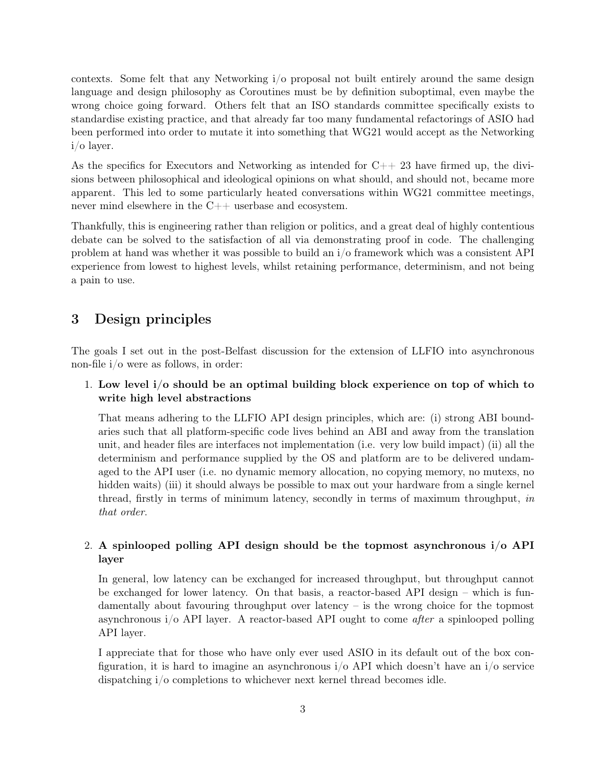contexts. Some felt that any Networking i/o proposal not built entirely around the same design language and design philosophy as Coroutines must be by definition suboptimal, even maybe the wrong choice going forward. Others felt that an ISO standards committee specifically exists to standardise existing practice, and that already far too many fundamental refactorings of ASIO had been performed into order to mutate it into something that WG21 would accept as the Networking i/o layer.

As the specifics for Executors and Networking as intended for  $C_{++}$  23 have firmed up, the divisions between philosophical and ideological opinions on what should, and should not, became more apparent. This led to some particularly heated conversations within WG21 committee meetings, never mind elsewhere in the C++ userbase and ecosystem.

Thankfully, this is engineering rather than religion or politics, and a great deal of highly contentious debate can be solved to the satisfaction of all via demonstrating proof in code. The challenging problem at hand was whether it was possible to build an i/o framework which was a consistent API experience from lowest to highest levels, whilst retaining performance, determinism, and not being a pain to use.

## <span id="page-2-0"></span>3 Design principles

The goals I set out in the post-Belfast discussion for the extension of LLFIO into asynchronous non-file i/o were as follows, in order:

#### 1. Low level i/o should be an optimal building block experience on top of which to write high level abstractions

That means adhering to the LLFIO API design principles, which are: (i) strong ABI boundaries such that all platform-specific code lives behind an ABI and away from the translation unit, and header files are interfaces not implementation (i.e. very low build impact) (ii) all the determinism and performance supplied by the OS and platform are to be delivered undamaged to the API user (i.e. no dynamic memory allocation, no copying memory, no mutexs, no hidden waits) (iii) it should always be possible to max out your hardware from a single kernel thread, firstly in terms of minimum latency, secondly in terms of maximum throughput, in that order.

## 2. A spinlooped polling API design should be the topmost asynchronous i/o API layer

In general, low latency can be exchanged for increased throughput, but throughput cannot be exchanged for lower latency. On that basis, a reactor-based API design – which is fundamentally about favouring throughput over latency – is the wrong choice for the topmost asynchronous i/o API layer. A reactor-based API ought to come after a spinlooped polling API layer.

I appreciate that for those who have only ever used ASIO in its default out of the box configuration, it is hard to imagine an asynchronous  $i/\sigma$  API which doesn't have an  $i/\sigma$  service dispatching i/o completions to whichever next kernel thread becomes idle.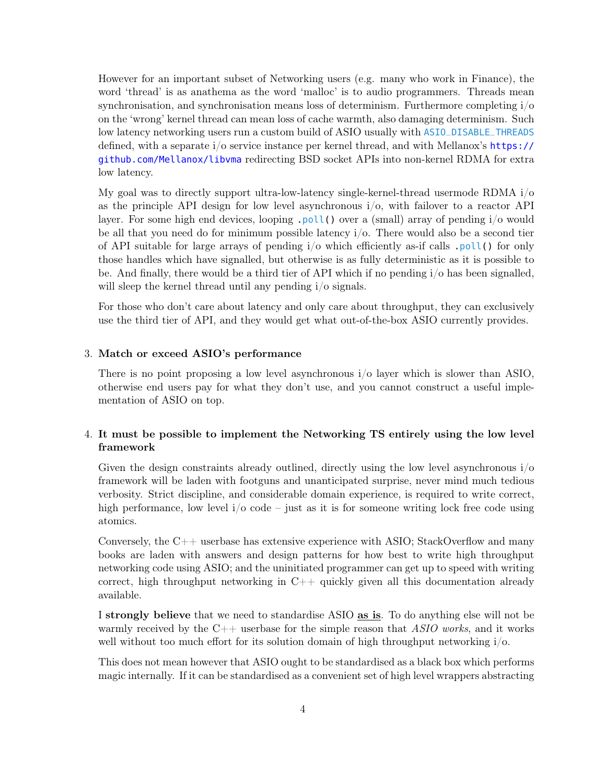However for an important subset of Networking users (e.g. many who work in Finance), the word 'thread' is as anathema as the word 'malloc' is to audio programmers. Threads mean synchronisation, and synchronisation means loss of determinism. Furthermore completing  $i/\sigma$ on the 'wrong' kernel thread can mean loss of cache warmth, also damaging determinism. Such low latency networking users run a custom build of ASIO usually with ASIO\_DISABLE\_THREADS defined, with a separate i/o service instance per kernel thread, and with Mellanox's [https://](https://github.com/Mellanox/libvma) [github.com/Mellanox/libvma](https://github.com/Mellanox/libvma) redirecting BSD socket APIs into non-kernel RDMA for extra low latency.

My goal was to directly support ultra-low-latency single-kernel-thread usermode RDMA i/o as the principle API design for low level asynchronous i/o, with failover to a reactor API layer. For some high end devices, looping .poll() over a (small) array of pending i/o would be all that you need do for minimum possible latency  $i/\sigma$ . There would also be a second tier of API suitable for large arrays of pending  $i/\sigma$  which efficiently as-if calls .poll() for only those handles which have signalled, but otherwise is as fully deterministic as it is possible to be. And finally, there would be a third tier of API which if no pending i/o has been signalled, will sleep the kernel thread until any pending  $i/\sigma$  signals.

For those who don't care about latency and only care about throughput, they can exclusively use the third tier of API, and they would get what out-of-the-box ASIO currently provides.

#### 3. Match or exceed ASIO's performance

There is no point proposing a low level asynchronous i/o layer which is slower than ASIO, otherwise end users pay for what they don't use, and you cannot construct a useful implementation of ASIO on top.

#### 4. It must be possible to implement the Networking TS entirely using the low level framework

Given the design constraints already outlined, directly using the low level asynchronous i/o framework will be laden with footguns and unanticipated surprise, never mind much tedious verbosity. Strict discipline, and considerable domain experience, is required to write correct, high performance, low level  $i/\sigma$  code – just as it is for someone writing lock free code using atomics.

Conversely, the  $C_{++}$  userbase has extensive experience with ASIO; StackOverflow and many books are laden with answers and design patterns for how best to write high throughput networking code using ASIO; and the uninitiated programmer can get up to speed with writing correct, high throughput networking in  $C++$  quickly given all this documentation already available.

I strongly believe that we need to standardise ASIO as is. To do anything else will not be warmly received by the  $C++$  userbase for the simple reason that ASIO works, and it works well without too much effort for its solution domain of high throughput networking i/o.

This does not mean however that ASIO ought to be standardised as a black box which performs magic internally. If it can be standardised as a convenient set of high level wrappers abstracting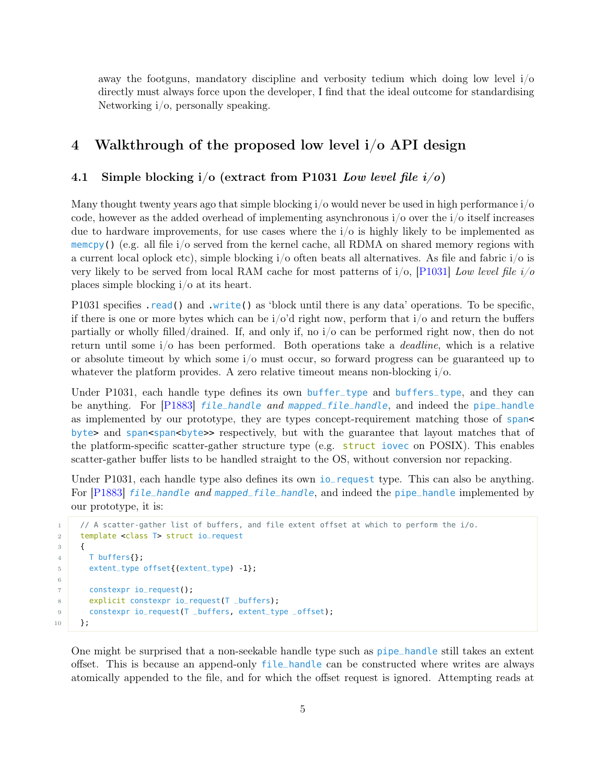away the footguns, mandatory discipline and verbosity tedium which doing low level  $i/\sigma$ directly must always force upon the developer, I find that the ideal outcome for standardising Networking i/o, personally speaking.

## <span id="page-4-0"></span>4 Walkthrough of the proposed low level i/o API design

#### <span id="page-4-1"></span>4.1 Simple blocking  $i/\sigma$  (extract from P1031 Low level file  $i/\sigma$ )

Many thought twenty years ago that simple blocking i/o would never be used in high performance i/o code, however as the added overhead of implementing asynchronous  $i/\sigma$  over the  $i/\sigma$  itself increases due to hardware improvements, for use cases where the  $i/\sigma$  is highly likely to be implemented as memcpy() (e.g. all file  $i/\sigma$  served from the kernel cache, all RDMA on shared memory regions with a current local oplock etc), simple blocking i/o often beats all alternatives. As file and fabric i/o is very likely to be served from local RAM cache for most patterns of  $i/\infty$ , [\[P1031\]](#page-21-0) Low level file  $i/\infty$ places simple blocking i/o at its heart.

P1031 specifies read() and write() as 'block until there is any data' operations. To be specific, if there is one or more bytes which can be  $i/\text{o'}d$  right now, perform that  $i/\text{o}$  and return the buffers partially or wholly filled/drained. If, and only if, no i/o can be performed right now, then do not return until some i/o has been performed. Both operations take a deadline, which is a relative or absolute timeout by which some i/o must occur, so forward progress can be guaranteed up to whatever the platform provides. A zero relative timeout means non-blocking  $i/\rho$ .

Under P1031, each handle type defines its own buffer\_type and buffers\_type, and they can be anything. For [\[P1883\]](#page-22-0) *file\_handle and mapped\_file\_handle*, and indeed the pipe\_handle as implemented by our prototype, they are types concept-requirement matching those of span< byte> and span<span<br/>shyte>> respectively, but with the guarantee that layout matches that of the platform-specific scatter-gather structure type (e.g.  $\frac{\text{struct}}{\text{cover}}$  on POSIX). This enables scatter-gather buffer lists to be handled straight to the OS, without conversion nor repacking.

Under P1031, each handle type also defines its own io\_request type. This can also be anything. For [\[P1883\]](#page-22-0) file\_handle and mapped\_file\_handle, and indeed the pipe\_handle implemented by our prototype, it is:

```
1 // A scatter-gather list of buffers, and file extent offset at which to perform the i/o.
2 template <class T> struct io_request
3 {
4 T buffers{};
5 extent_type offset{(extent_type) -1};
7 constexpr io_request();
8 explicit constexpr io_request(T _buffers);
9 constexpr io_request(T _buffers, extent_type _offset);
10 };
```
6

One might be surprised that a non-seekable handle type such as pipe\_handle still takes an extent offset. This is because an append-only file\_handle can be constructed where writes are always atomically appended to the file, and for which the offset request is ignored. Attempting reads at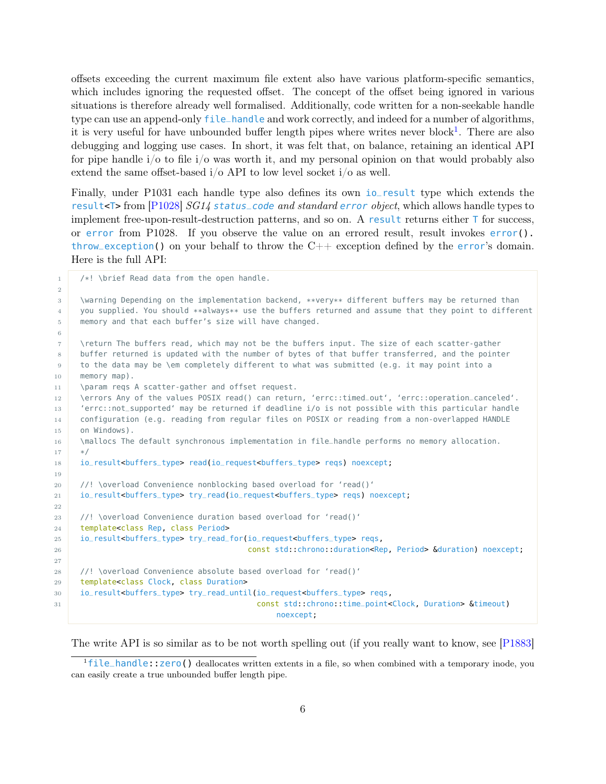offsets exceeding the current maximum file extent also have various platform-specific semantics, which includes ignoring the requested offset. The concept of the offset being ignored in various situations is therefore already well formalised. Additionally, code written for a non-seekable handle type can use an append-only file\_handle and work correctly, and indeed for a number of algorithms, it is very useful for have unbounded buffer length pipes where writes never block<sup>[1](#page-5-0)</sup>. There are also debugging and logging use cases. In short, it was felt that, on balance, retaining an identical API for pipe handle  $i/\sigma$  to file  $i/\sigma$  was worth it, and my personal opinion on that would probably also extend the same offset-based  $i/\text{o}$  API to low level socket  $i/\text{o}$  as well.

Finally, under P1031 each handle type also defines its own io\_result type which extends the result<T> from [\[P1028\]](#page-21-6) SG14 status\_code and standard error object, which allows handle types to implement free-upon-result-destruction patterns, and so on. A result returns either  $\bar{\mathsf{T}}$  for success, or error from P1028. If you observe the value on an errored result, result invokes error(). throw\_exception() on your behalf to throw the  $C++$  exception defined by the error's domain. Here is the full API:

1 /\*! \brief Read data from the open handle.

2 3 \warning Depending on the implementation backend, \*\*very\*\* different buffers may be returned than 4 you supplied. You should \*\*always\*\* use the buffers returned and assume that they point to different 5 memory and that each buffer's size will have changed. 6 7 \return The buffers read, which may not be the buffers input. The size of each scatter-gather 8 buffer returned is updated with the number of bytes of that buffer transferred, and the pointer 9 to the data may be \em completely different to what was submitted (e.g. it may point into a 10 memory map). 11 \param reqs A scatter-gather and offset request. 12 \errors Any of the values POSIX read() can return, 'errc::timed\_out', 'errc::operation\_canceled'. <sup>13</sup> 'errc::not\_supported' may be returned if deadline i/o is not possible with this particular handle 14 configuration (e.g. reading from regular files on POSIX or reading from a non-overlapped HANDLE 15 on Windows). 16 \mallocs The default synchronous implementation in file\_handle performs no memory allocation.  $17$  \*/ <sup>18</sup> io\_result<buffers\_type> read(io\_request<buffers\_type> reqs) noexcept; 19 20 //! \overload Convenience nonblocking based overload for 'read()' <sup>21</sup> io\_result<buffers\_type> try\_read(io\_request<buffers\_type> reqs) noexcept; 22 23 //! \overload Convenience duration based overload for 'read()' 24 template<class Rep, class Period> <sup>25</sup> io\_result<buffers\_type> try\_read\_for(io\_request<buffers\_type> reqs, 26 const std::chrono::duration<Rep, Period> &duration) noexcept; 27 28 //! \overload Convenience absolute based overload for 'read()' 29 template<class Clock, class Duration> <sup>30</sup> io\_result<buffers\_type> try\_read\_until(io\_request<buffers\_type> reqs, <sup>31</sup> const std::chrono::time\_point<Clock, Duration> &timeout) noexcept;

The write API is so similar as to be not worth spelling out (if you really want to know, see [\[P1883\]](#page-22-0)

<span id="page-5-0"></span><sup>1</sup>file\_handle::zero() deallocates written extents in a file, so when combined with a temporary inode, you can easily create a true unbounded buffer length pipe.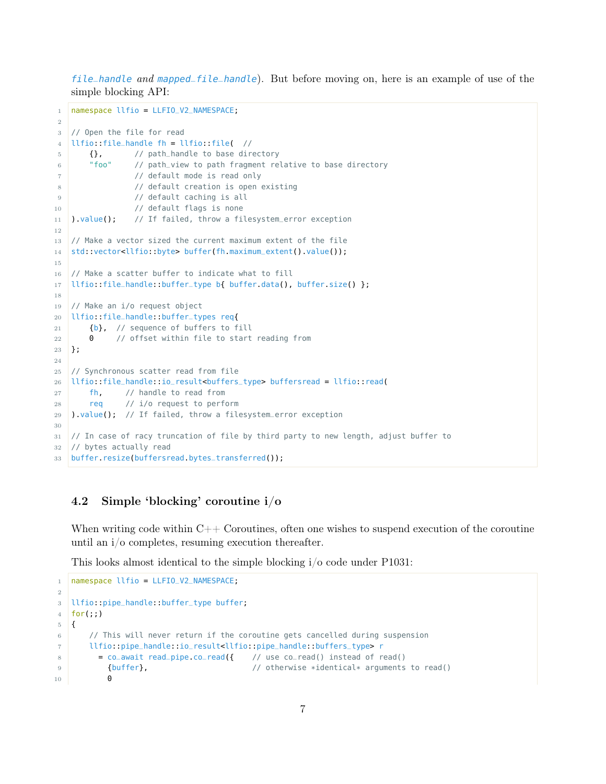file\_handle and mapped\_file\_handle). But before moving on, here is an example of use of the simple blocking API:

```
1 namespace llfio = LLFIO_V2_NAMESPACE;
\overline{2}3 // Open the file for read
4 | llfio: file_handle fh = llfio: file( \frac{1}{2}5 {}, // path_handle to base directory
6 "foo" // path_view to path fragment relative to base directory
7 // default mode is read only
8 // default creation is open existing
9 // default caching is all
10 // default flags is none
11 ).value(); // If failed, throw a filesystem_error exception
12
13 // Make a vector sized the current maximum extent of the file
14 std::vector<llfio::byte> buffer(fh.maximum_extent().value());
15
16 // Make a scatter buffer to indicate what to fill
17 | llfio::file_handle::buffer_type b{ buffer.data(), buffer.size() };
18
19 // Make an i/o request object
20 llfio::file_handle::buffer_types req{
21 {b}, // sequence of buffers to fill
22 0 // offset within file to start reading from
23 };
24
25 // Synchronous scatter read from file
26 llfio::file_handle::io_result<buffers_type> buffersread = llfio::read(
27 fh, // handle to read from
28 req // i/o request to perform
29 ).value(); // If failed, throw a filesystem_error exception
30
31 // In case of racy truncation of file by third party to new length, adjust buffer to
32 // bytes actually read
33 buffer.resize(buffersread.bytes_transferred());
```
## <span id="page-6-0"></span>4.2 Simple 'blocking' coroutine i/o

When writing code within  $C++$  Coroutines, often one wishes to suspend execution of the coroutine until an i/o completes, resuming execution thereafter.

This looks almost identical to the simple blocking i/o code under P1031:

```
1 namespace llfio = LLFIO V2 NAMESPACE;
\overline{2}3 llfio::pipe_handle::buffer_type buffer;
4 \mid for(;;)
5 \mid \{6 // This will never return if the coroutine gets cancelled during suspension
7 llfio::pipe_handle::io_result<llfio::pipe_handle::buffers_type> r
8 = co_await read_pipe.co_read({ // use co_read() instead of read()
9 {buffer}, \sqrt{2} // otherwise *identical* arguments to read()
10 0
```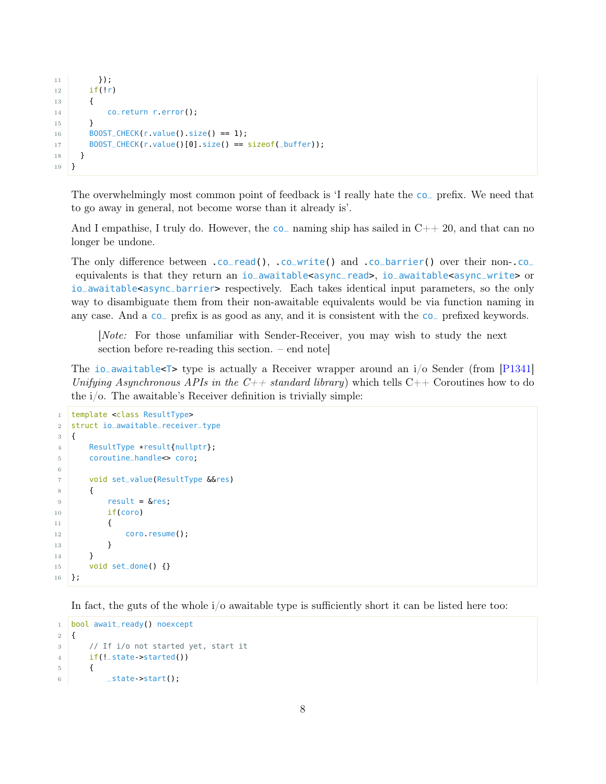```
11 });
12 if(!r)
13 {
14 co_return r.error();
15 }
16 BOOST_CHECK(r.value().size() == 1);
17 BOOST_CHECK(r.value()[0].size() == sizeof(_buffer));
18 }
19 }
```
The overwhelmingly most common point of feedback is 'I really hate the co\_ prefix. We need that to go away in general, not become worse than it already is'.

And I empathise, I truly do. However, the  $\overline{\text{co}}$  naming ship has sailed in  $\text{C++}20$ , and that can no longer be undone.

The only difference between .co\_read(), .co\_write() and .co\_barrier() over their non-.co\_ equivalents is that they return an io\_awaitable<async\_read>, io\_awaitable<async\_write> or io\_awaitable<async\_barrier> respectively. Each takes identical input parameters, so the only way to disambiguate them from their non-awaitable equivalents would be via function naming in any case. And a co\_ prefix is as good as any, and it is consistent with the co\_ prefixed keywords.

[Note: For those unfamiliar with Sender-Receiver, you may wish to study the next section before re-reading this section. – end note]

The io\_awaitable<T> type is actually a Receiver wrapper around an  $i$ /o Sender (from [\[P1341\]](#page-21-1) Unifying Asynchronous APIs in the  $C_{++}$  standard library) which tells  $C_{++}$  Coroutines how to do the i/o. The awaitable's Receiver definition is trivially simple:

```
1 template <class ResultType>
2 struct io_awaitable_receiver_type
3 \mid \{4 ResultType *result{nullptr};
5 coroutine_handle<> coro;
6
7 void set_value(ResultType &&res)
8 {
9 result = 6res;
10 if(coro)
11 {
12 coro.resume();
13 }
14 }
15 void set_done() {}
16 };
```
In fact, the guts of the whole i/o awaitable type is sufficiently short it can be listed here too:

```
1 bool await_ready() noexcept
2 \mid \{3 // If i/o not started yet, start it
4 if(!_state->started())
5 {
6 \quad _state->start();
```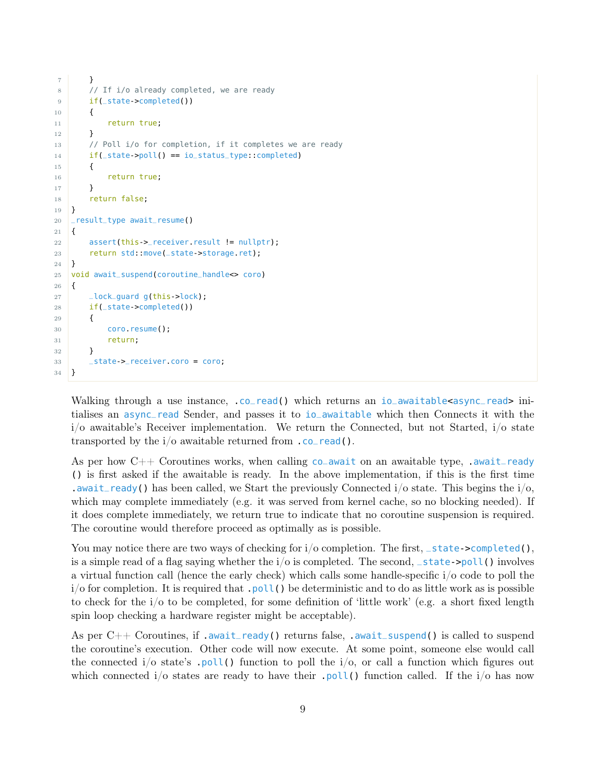```
7 }
8 // If i/o already completed, we are ready
9 if(_state->completed())
10 {
11 return true;
12 }
13 // Poll i/o for completion, if it completes we are ready
14 if(_state->poll() == io_status_type::completed)
15 {
16 return true;
17 }
18 return false;
19 }
20 _result_type await_resume()
21 \mid \{22 assert(this->_receiver.result != nullptr);
23 return std::move(_state->storage.ret);
24 }
25 void await_suspend(coroutine_handle<> coro)
26 \mid \{27 \qquad \qquad \qquad \qquad \qquad \qquad \qquad \qquad \qquad \qquad \qquad \qquad \qquad \qquad \qquad \qquad \qquad \qquad \qquad \qquad \qquad \qquad \qquad \qquad \qquad \qquad \qquad \qquad \qquad \qquad \qquad \qquad \qquad \qquad \qquad \qquad 
28 if(_state->completed())
29 {
30 coro.resume();
31 return;
32 }
33 _state->_receiver.coro = coro;
34 }
```
Walking through a use instance, .co\_read() which returns an io\_awaitable<async\_read> initialises an async\_read Sender, and passes it to io\_awaitable which then Connects it with the i/o awaitable's Receiver implementation. We return the Connected, but not Started, i/o state transported by the  $i$ /o awaitable returned from  $\cdot$  co\_read().

As per how  $C++$  Coroutines works, when calling co\_await on an awaitable type, .await\_ready () is first asked if the awaitable is ready. In the above implementation, if this is the first time .await\_ready() has been called, we Start the previously Connected  $i/\sigma$  state. This begins the  $i/\sigma$ , which may complete immediately (e.g. it was served from kernel cache, so no blocking needed). If it does complete immediately, we return true to indicate that no coroutine suspension is required. The coroutine would therefore proceed as optimally as is possible.

You may notice there are two ways of checking for  $i/\sigma$  completion. The first, \_state->completed(), is a simple read of a flag saying whether the  $i$ /o is completed. The second,  $_$ state->poll() involves a virtual function call (hence the early check) which calls some handle-specific i/o code to poll the  $i$  of for completion. It is required that  $.$  poll() be deterministic and to do as little work as is possible to check for the i/o to be completed, for some definition of 'little work' (e.g. a short fixed length spin loop checking a hardware register might be acceptable).

As per  $C++$  Coroutines, if .await\_ready() returns false, .await\_suspend() is called to suspend the coroutine's execution. Other code will now execute. At some point, someone else would call the connected i/o state's .poll() function to poll the  $i$ /o, or call a function which figures out which connected i/o states are ready to have their .poll() function called. If the  $i$ /o has now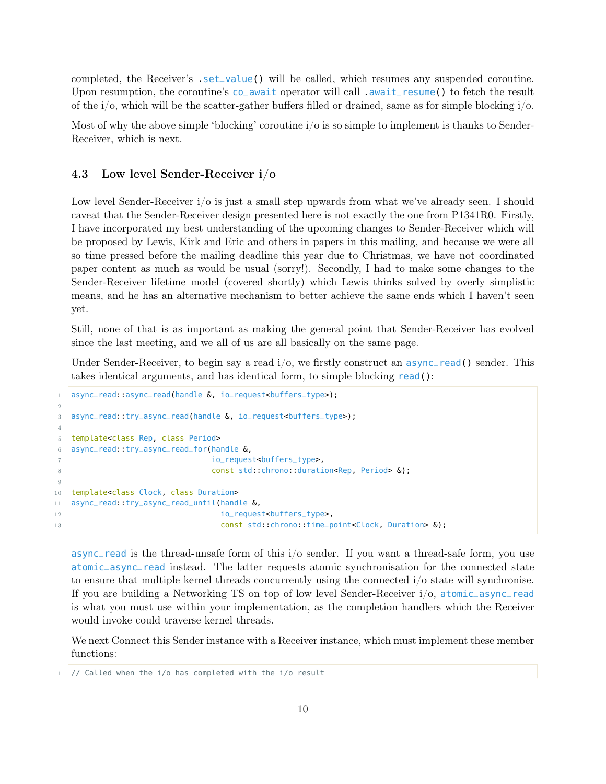completed, the Receiver's .set\_value() will be called, which resumes any suspended coroutine. Upon resumption, the coroutine's co\_await operator will call .await\_resume() to fetch the result of the  $i$ /o, which will be the scatter-gather buffers filled or drained, same as for simple blocking  $i$ /o.

Most of why the above simple 'blocking' coroutine  $i/\sigma$  is so simple to implement is thanks to Sender-Receiver, which is next.

#### <span id="page-9-0"></span>4.3 Low level Sender-Receiver i/o

Low level Sender-Receiver  $i$  o is just a small step upwards from what we've already seen. I should caveat that the Sender-Receiver design presented here is not exactly the one from P1341R0. Firstly, I have incorporated my best understanding of the upcoming changes to Sender-Receiver which will be proposed by Lewis, Kirk and Eric and others in papers in this mailing, and because we were all so time pressed before the mailing deadline this year due to Christmas, we have not coordinated paper content as much as would be usual (sorry!). Secondly, I had to make some changes to the Sender-Receiver lifetime model (covered shortly) which Lewis thinks solved by overly simplistic means, and he has an alternative mechanism to better achieve the same ends which I haven't seen yet.

Still, none of that is as important as making the general point that Sender-Receiver has evolved since the last meeting, and we all of us are all basically on the same page.

Under Sender-Receiver, to begin say a read  $i/\rho$ , we firstly construct an async\_read() sender. This takes identical arguments, and has identical form, to simple blocking read():

```
1 async_read: async_read(handle &, io_request<buffers_type>);
2
3 async_read::try_async_read(handle &, io_request<buffers_type>);
4
5 template<class Rep, class Period>
6 async_read::try_async_read_for(handle &,
7 io_request<buffers_type>,
8 const std::chrono::duration<Rep, Period> &);
9
10 template<class Clock, class Duration>
11 | async_read::try_async_read_until(handle &,
12 io_request<buffers_type>,
13 const std::chrono::time_point<Clock, Duration> \delta);
```
async\_read is the thread-unsafe form of this i/o sender. If you want a thread-safe form, you use atomic\_async\_read instead. The latter requests atomic synchronisation for the connected state to ensure that multiple kernel threads concurrently using the connected i/o state will synchronise. If you are building a Networking TS on top of low level Sender-Receiver i/o, atomic\_async\_read is what you must use within your implementation, as the completion handlers which the Receiver would invoke could traverse kernel threads.

We next Connect this Sender instance with a Receiver instance, which must implement these member functions:

 $1$  // Called when the i/o has completed with the i/o result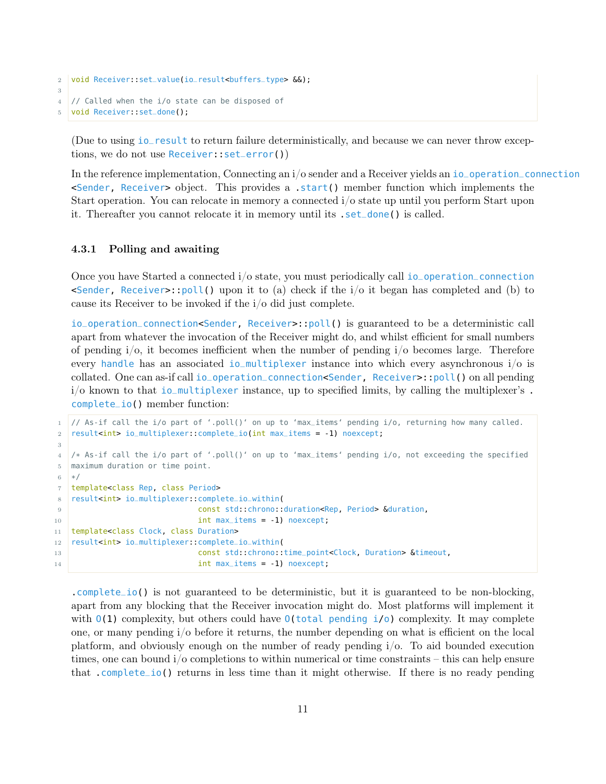```
2 void Receiver::set_value(io_result<buffers_type> &&);
3
4 // Called when the i/o state can be disposed of
  void Receiver::set_done();
```
(Due to using io\_result to return failure deterministically, and because we can never throw exceptions, we do not use Receiver::set\_error())

In the reference implementation, Connecting an i/o sender and a Receiver yields an io\_operation\_connection <Sender, Receiver> object. This provides a .start() member function which implements the Start operation. You can relocate in memory a connected i/o state up until you perform Start upon it. Thereafter you cannot relocate it in memory until its .set\_done() is called.

#### <span id="page-10-0"></span>4.3.1 Polling and awaiting

Once you have Started a connected i/o state, you must periodically call io\_operation\_connection  $\epsilon$ Sender, Receiver>::poll() upon it to (a) check if the i/o it began has completed and (b) to cause its Receiver to be invoked if the i/o did just complete.

io\_operation\_connection<Sender, Receiver>::poll() is guaranteed to be a deterministic call apart from whatever the invocation of the Receiver might do, and whilst efficient for small numbers of pending  $i/\infty$ , it becomes inefficient when the number of pending  $i/\infty$  becomes large. Therefore every handle has an associated io\_multiplexer instance into which every asynchronous i/o is collated. One can as-if call io\_operation\_connection<Sender, Receiver>::poll() on all pending  $i$ <sup>o</sup> known to that io\_multiplexer instance, up to specified limits, by calling the multiplexer's. complete\_io() member function:

```
1 // As-if call the i/o part of '.poll()' on up to 'max_items' pending i/o, returning how many called.
2 result<int> io_multiplexer::complete_io(int max_items = -1) noexcept;
3
4 /* As-if call the i/o part of '.poll()' on up to 'max_items' pending i/o, not exceeding the specified
5 maximum duration or time point.
6 */7 template<class Rep, class Period>
8 | result<int> io_multiplexer::complete_io_within(
9 const std::chrono::duration<Rep, Period> &duration,
10 int max_items = -1) noexcept;
11 template<class Clock, class Duration>
12 result<int> io_multiplexer::complete_io_within(
13 const std::chrono::time_point<Clock, Duration> &timeout,
14 int max_items = -1) noexcept;
```
.complete\_io() is not guaranteed to be deterministic, but it is guaranteed to be non-blocking, apart from any blocking that the Receiver invocation might do. Most platforms will implement it with  $O(1)$  complexity, but others could have  $O(\text{total pending } i/o)$  complexity. It may complete one, or many pending i/o before it returns, the number depending on what is efficient on the local platform, and obviously enough on the number of ready pending i/o. To aid bounded execution times, one can bound i/o completions to within numerical or time constraints – this can help ensure that .complete\_io() returns in less time than it might otherwise. If there is no ready pending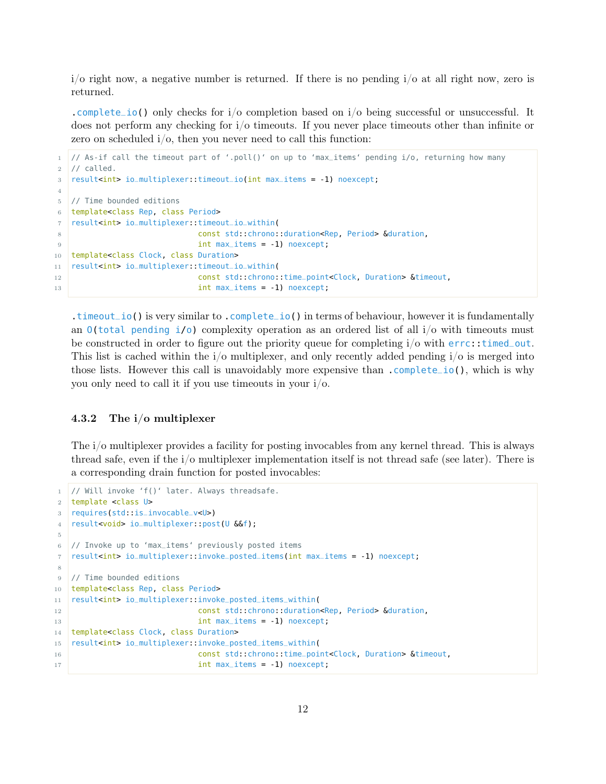$i$  is respective number is returned. If there is no pending  $i$  o at all right now, zero is returned.

.complete\_io() only checks for  $i/\text{o}$  completion based on  $i/\text{o}$  being successful or unsuccessful. It does not perform any checking for i/o timeouts. If you never place timeouts other than infinite or zero on scheduled i/o, then you never need to call this function:

```
1 // As-if call the timeout part of '.poll()' on up to 'max_items' pending i/o, returning how many
2 // called.
3 | result<int> io_multiplexer::timeout_io(int max_items = -1) noexcept;
4
5 // Time bounded editions
6 template<class Rep, class Period>
7 result<int> io_multiplexer::timeout_io_within(
8 const std::chrono::duration<Rep, Period> &duration,
9 int max_items = -1) noexcept;
10 template<class Clock, class Duration>
11 result<int> io_multiplexer::timeout_io_within(
12 const std::chrono::time_point<Clock, Duration> &timeout,
13 int max_items = -1) noexcept;
```
.timeout\_io() is very similar to .complete\_io() in terms of behaviour, however it is fundamentally an  $0$ (total pending i/o) complexity operation as an ordered list of all  $i$ /o with timeouts must be constructed in order to figure out the priority queue for completing i/o with errc::timed\_out. This list is cached within the  $i/\sigma$  multiplexer, and only recently added pending  $i/\sigma$  is merged into those lists. However this call is unavoidably more expensive than .complete\_io(), which is why you only need to call it if you use timeouts in your i/o.

#### <span id="page-11-0"></span>4.3.2 The i/o multiplexer

The i/o multiplexer provides a facility for posting invocables from any kernel thread. This is always thread safe, even if the i/o multiplexer implementation itself is not thread safe (see later). There is a corresponding drain function for posted invocables:

```
1 // Will invoke 'f()' later. Always threadsafe.
2 template <class U>
3 requires(std::is_invocable_v<U>)
4 result<void> io_multiplexer::post(U &&f);
5
6 // Invoke up to 'max_items' previously posted items
7 result<int> io_multiplexer::invoke_posted_items(int max_items = -1) noexcept;
8
9 // Time bounded editions
10 template<class Rep, class Period>
11 result<int> io_multiplexer::invoke_posted_items_within(
12 const std::chrono::duration<Rep, Period> &duration,
13 int max_items = -1) noexcept;
14 template<class Clock, class Duration>
15 result<int> io_multiplexer::invoke_posted_items_within(
16 const std::chrono::time_point<Clock, Duration> &timeout,
17 int max_items = -1) noexcept;
```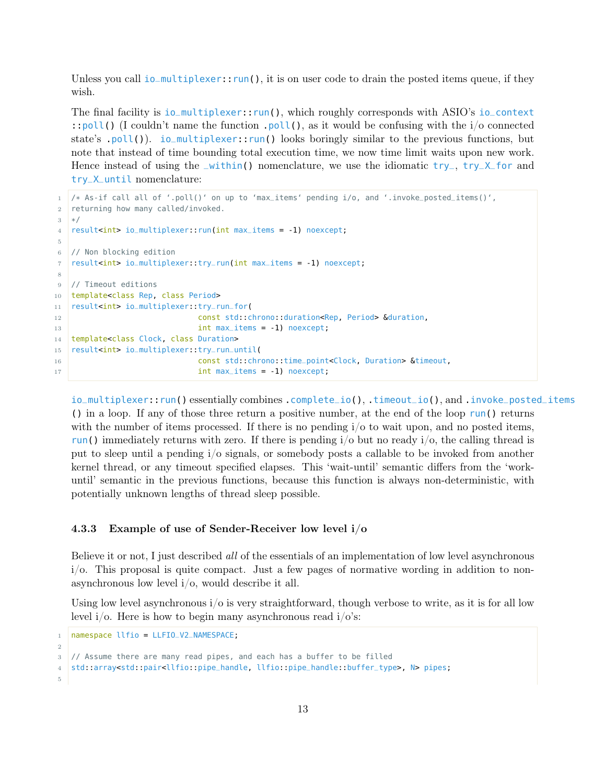Unless you call  $i$ o\_multiplexer::run(), it is on user code to drain the posted items queue, if they wish.

The final facility is io\_multiplexer::run(), which roughly corresponds with ASIO's io\_context ::poll() (I couldn't name the function .poll(), as it would be confusing with the  $i$ /o connected state's .poll()). io\_multiplexer::run() looks boringly similar to the previous functions, but note that instead of time bounding total execution time, we now time limit waits upon new work. Hence instead of using the  $\text{\textendash}$ within() nomenclature, we use the idiomatic try<sub>-</sub>, try\_X\_for and try\_X\_until nomenclature:

```
1 /* As-if call all of '.poll()' on up to 'max_items' pending i/o, and '.invoke_posted_items()',
2 returning how many called/invoked.
3 */4 result<int> io_multiplexer::run(int max_items = -1) noexcept;
5
6 // Non blocking edition
7 | result<int> io_multiplexer::try_run(int max_items = -1) noexcept;
8
9 // Timeout editions
10 template<class Rep, class Period>
11 result<int> io_multiplexer::try_run_for(
12 const std::chrono::duration<Rep, Period> &duration,
13 int max_items = -1) noexcept;
14 template<class Clock, class Duration>
15 result<int> io_multiplexer::try_run_until(
16 const std::chrono::time_point<Clock, Duration> &timeout,
17 int max_items = -1) noexcept;
```
io\_multiplexer::run() essentially combines .complete\_io(), .timeout\_io(), and .invoke\_posted\_items () in a loop. If any of those three return a positive number, at the end of the loop run() returns with the number of items processed. If there is no pending  $i/\sigma$  to wait upon, and no posted items, run() immediately returns with zero. If there is pending  $i$  but no ready  $i$  o, the calling thread is put to sleep until a pending i/o signals, or somebody posts a callable to be invoked from another kernel thread, or any timeout specified elapses. This 'wait-until' semantic differs from the 'workuntil' semantic in the previous functions, because this function is always non-deterministic, with potentially unknown lengths of thread sleep possible.

#### <span id="page-12-0"></span>4.3.3 Example of use of Sender-Receiver low level i/o

Believe it or not, I just described all of the essentials of an implementation of low level asynchronous  $i$ . This proposal is quite compact. Just a few pages of normative wording in addition to nonasynchronous low level i/o, would describe it all.

Using low level asynchronous  $i/\sigma$  is very straightforward, though verbose to write, as it is for all low level  $i/\text{o}$ . Here is how to begin many asynchronous read  $i/\text{o}'s$ :

```
1 namespace llfio = LLFIO_V2_NAMESPACE;
2
3 // Assume there are many read pipes, and each has a buffer to be filled
4 std::array<std::pair<llfio::pipe_handle, llfio::pipe_handle::buffer_type>, N> pipes;
5
```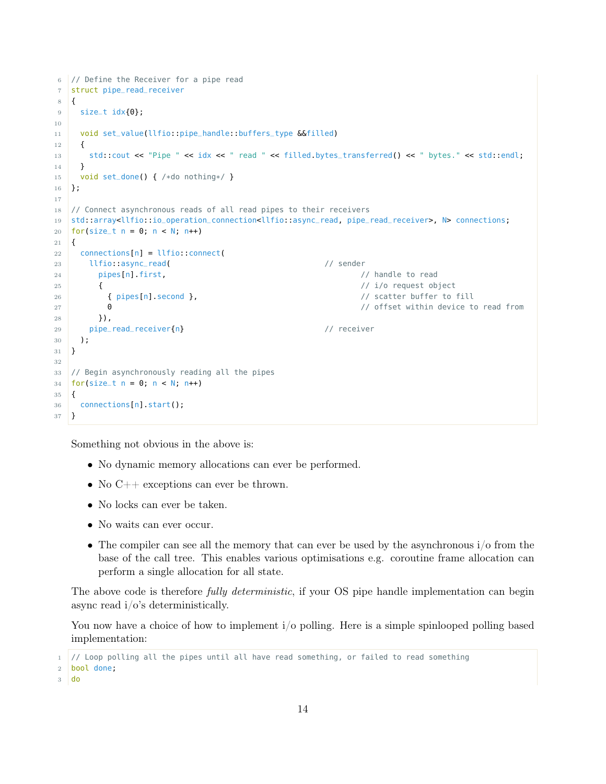```
6 // Define the Receiver for a pipe read
7 struct pipe_read_receiver
8 {
9 size_t idx\{0\};
10
11 void set_value(llfio::pipe_handle::buffers_type &&filled)
12 \mid \cdot \cdot \cdot \cdot13 std::cout << "Pipe " << idx << " read " << filled.bytes_transferred() << " bytes." << std::endl;
14 }
15 void set_done() { /*do nothing*/ }
16 };
17
18 // Connect asynchronous reads of all read pipes to their receivers
19 std::array<llfio::io_operation_connection<llfio::async_read, pipe_read_receiver>, N> connections;
20 for(size_t n = 0; n < N; n++)21 \mid \mathbf{f}22 connections[n] = llfio: connect(
23 llfio::async_read( // sender
24 pipes[n].first, // handle to read
25 { \sqrt{1/2} i/o request object
26 { pipes[n].second }, // scatter buffer to fill
27 0 // offset within device to read from
28 }),
29 pipe_read_receiver{n} // receiver
30 );
31 }
32
33 // Begin asynchronously reading all the pipes
34 for(size_t n = 0; n < N; n++)
35 \mid \{36 connections[n].start();
37 }
```
Something not obvious in the above is:

- No dynamic memory allocations can ever be performed.
- No C++ exceptions can ever be thrown.
- No locks can ever be taken.
- No waits can ever occur.
- The compiler can see all the memory that can ever be used by the asynchronous  $i/\sigma$  from the base of the call tree. This enables various optimisations e.g. coroutine frame allocation can perform a single allocation for all state.

The above code is therefore *fully deterministic*, if your OS pipe handle implementation can begin async read  $i/\sigma$ 's deterministically.

You now have a choice of how to implement  $i$  polling. Here is a simple spinlooped polling based implementation:

<sup>1</sup> // Loop polling all the pipes until all have read something, or failed to read something

<sup>2</sup> bool done;

<sup>3</sup> do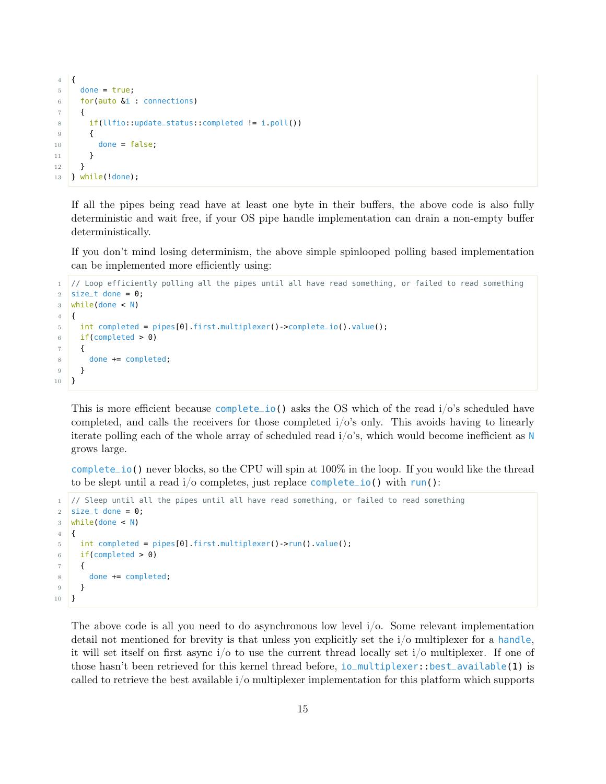```
4 {
5 done = true;
6 for(auto &i : connections)
7 {
8 if(llfio::update_status::completed != i.poll())
9 {
10 done = false;
11 }
12 }
13 } while(!done);
```
If all the pipes being read have at least one byte in their buffers, the above code is also fully deterministic and wait free, if your OS pipe handle implementation can drain a non-empty buffer deterministically.

If you don't mind losing determinism, the above simple spinlooped polling based implementation can be implemented more efficiently using:

```
1 // Loop efficiently polling all the pipes until all have read something, or failed to read something
2 size_t done = 0;
3 while(done < N)
4 {
5 int completed = pipes[0].first.multiplexer()->complete_io().value();
6 if(completed > 0)
7 {
8 done += completed;
9 }
10 }
```
This is more efficient because complete\_io() asks the OS which of the read  $i/\circ$ 's scheduled have completed, and calls the receivers for those completed i/o's only. This avoids having to linearly iterate polling each of the whole array of scheduled read  $i/\delta$ 's, which would become inefficient as N grows large.

complete\_io() never blocks, so the CPU will spin at 100% in the loop. If you would like the thread to be slept until a read  $i$ /o completes, just replace complete\_io() with run():

```
1 // Sleep until all the pipes until all have read something, or failed to read something
2 size_t done = 0;
3 while(done < N)
4 \mid \{5 int completed = pipes[0].first.multiplexer()->run().value();
6 if(completed > 0)
7 \mid \{8 done += completed;
9 }
10 }
```
The above code is all you need to do asynchronous low level i/o. Some relevant implementation detail not mentioned for brevity is that unless you explicitly set the i/o multiplexer for a handle, it will set itself on first async i/o to use the current thread locally set i/o multiplexer. If one of those hasn't been retrieved for this kernel thread before, io\_multiplexer::best\_available(1) is called to retrieve the best available i/o multiplexer implementation for this platform which supports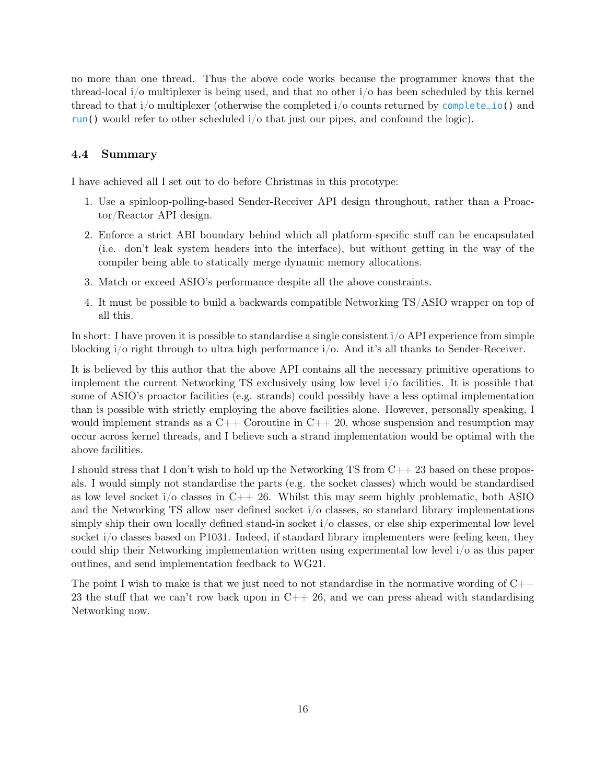no more than one thread. Thus the above code works because the programmer knows that the thread-local i/o multiplexer is being used, and that no other i/o has been scheduled by this kernel thread to that i/o multiplexer (otherwise the completed i/o counts returned by complete\_io() and run() would refer to other scheduled  $i/\sigma$  that just our pipes, and confound the logic).

#### <span id="page-15-0"></span>4.4 Summary

I have achieved all I set out to do before Christmas in this prototype:

- 1. Use a spinloop-polling-based Sender-Receiver API design throughout, rather than a Proactor/Reactor API design.
- 2. Enforce a strict ABI boundary behind which all platform-specific stuff can be encapsulated (i.e. don't leak system headers into the interface), but without getting in the way of the compiler being able to statically merge dynamic memory allocations.
- 3. Match or exceed ASIO's performance despite all the above constraints.
- 4. It must be possible to build a backwards compatible Networking TS/ASIO wrapper on top of all this.

In short: I have proven it is possible to standardise a single consistent  $i/\sigma$  API experience from simple blocking i/o right through to ultra high performance i/o. And it's all thanks to Sender-Receiver.

It is believed by this author that the above API contains all the necessary primitive operations to implement the current Networking TS exclusively using low level i/o facilities. It is possible that some of ASIO's proactor facilities (e.g. strands) could possibly have a less optimal implementation than is possible with strictly employing the above facilities alone. However, personally speaking, I would implement strands as a  $C++$  Coroutine in  $C++20$ , whose suspension and resumption may occur across kernel threads, and I believe such a strand implementation would be optimal with the above facilities.

I should stress that I don't wish to hold up the Networking TS from  $C_{++}$  23 based on these proposals. I would simply not standardise the parts (e.g. the socket classes) which would be standardised as low level socket i/o classes in C++ 26. Whilst this may seem highly problematic, both ASIO and the Networking TS allow user defined socket i/o classes, so standard library implementations simply ship their own locally defined stand-in socket i/o classes, or else ship experimental low level socket i/o classes based on P1031. Indeed, if standard library implementers were feeling keen, they could ship their Networking implementation written using experimental low level i/o as this paper outlines, and send implementation feedback to WG21.

The point I wish to make is that we just need to not standardise in the normative wording of  $C_{++}$ 23 the stuff that we can't row back upon in  $C++26$ , and we can press ahead with standardising Networking now.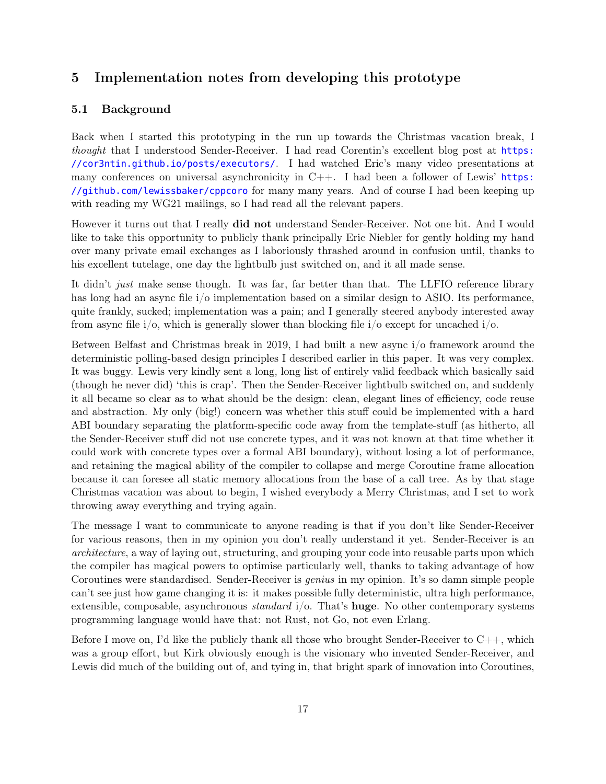## <span id="page-16-0"></span>5 Implementation notes from developing this prototype

### <span id="page-16-1"></span>5.1 Background

Back when I started this prototyping in the run up towards the Christmas vacation break, I thought that I understood Sender-Receiver. I had read Corentin's excellent blog post at [https:](https://cor3ntin.github.io/posts/executors/) [//cor3ntin.github.io/posts/executors/](https://cor3ntin.github.io/posts/executors/). I had watched Eric's many video presentations at many conferences on universal asynchronicity in  $C++$ . I had been a follower of Lewis' [https:](https://github.com/lewissbaker/cppcoro) [//github.com/lewissbaker/cppcoro](https://github.com/lewissbaker/cppcoro) for many many years. And of course I had been keeping up with reading my WG21 mailings, so I had read all the relevant papers.

However it turns out that I really did not understand Sender-Receiver. Not one bit. And I would like to take this opportunity to publicly thank principally Eric Niebler for gently holding my hand over many private email exchanges as I laboriously thrashed around in confusion until, thanks to his excellent tutelage, one day the lightbulb just switched on, and it all made sense.

It didn't just make sense though. It was far, far better than that. The LLFIO reference library has long had an async file i/o implementation based on a similar design to ASIO. Its performance, quite frankly, sucked; implementation was a pain; and I generally steered anybody interested away from async file  $i/\rho$ , which is generally slower than blocking file  $i/\rho$  except for uncached  $i/\rho$ .

Between Belfast and Christmas break in 2019, I had built a new async i/o framework around the deterministic polling-based design principles I described earlier in this paper. It was very complex. It was buggy. Lewis very kindly sent a long, long list of entirely valid feedback which basically said (though he never did) 'this is crap'. Then the Sender-Receiver lightbulb switched on, and suddenly it all became so clear as to what should be the design: clean, elegant lines of efficiency, code reuse and abstraction. My only (big!) concern was whether this stuff could be implemented with a hard ABI boundary separating the platform-specific code away from the template-stuff (as hitherto, all the Sender-Receiver stuff did not use concrete types, and it was not known at that time whether it could work with concrete types over a formal ABI boundary), without losing a lot of performance, and retaining the magical ability of the compiler to collapse and merge Coroutine frame allocation because it can foresee all static memory allocations from the base of a call tree. As by that stage Christmas vacation was about to begin, I wished everybody a Merry Christmas, and I set to work throwing away everything and trying again.

The message I want to communicate to anyone reading is that if you don't like Sender-Receiver for various reasons, then in my opinion you don't really understand it yet. Sender-Receiver is an architecture, a way of laying out, structuring, and grouping your code into reusable parts upon which the compiler has magical powers to optimise particularly well, thanks to taking advantage of how Coroutines were standardised. Sender-Receiver is genius in my opinion. It's so damn simple people can't see just how game changing it is: it makes possible fully deterministic, ultra high performance, extensible, composable, asynchronous *standard*  $i/\text{o}$ . That's **huge**. No other contemporary systems programming language would have that: not Rust, not Go, not even Erlang.

Before I move on, I'd like the publicly thank all those who brought Sender-Receiver to  $C_{++}$ , which was a group effort, but Kirk obviously enough is the visionary who invented Sender-Receiver, and Lewis did much of the building out of, and tying in, that bright spark of innovation into Coroutines,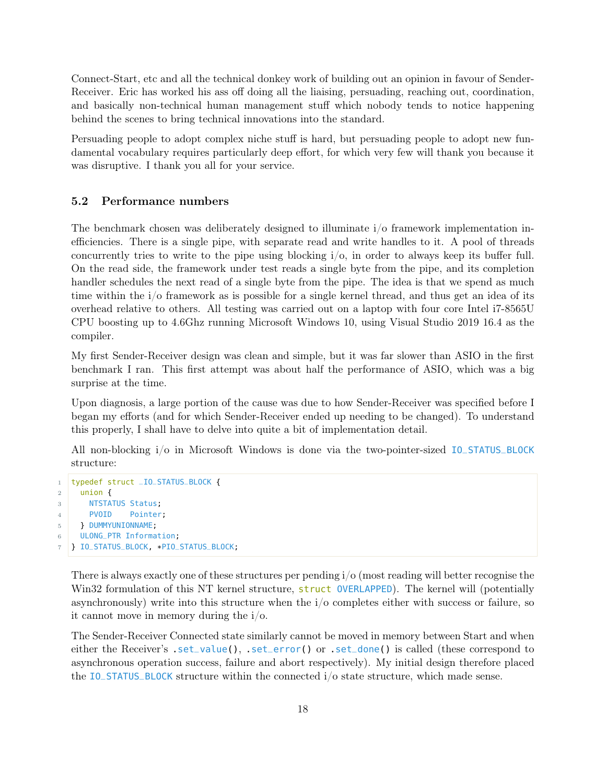Connect-Start, etc and all the technical donkey work of building out an opinion in favour of Sender-Receiver. Eric has worked his ass off doing all the liaising, persuading, reaching out, coordination, and basically non-technical human management stuff which nobody tends to notice happening behind the scenes to bring technical innovations into the standard.

Persuading people to adopt complex niche stuff is hard, but persuading people to adopt new fundamental vocabulary requires particularly deep effort, for which very few will thank you because it was disruptive. I thank you all for your service.

#### <span id="page-17-0"></span>5.2 Performance numbers

The benchmark chosen was deliberately designed to illuminate i/o framework implementation inefficiencies. There is a single pipe, with separate read and write handles to it. A pool of threads concurrently tries to write to the pipe using blocking i/o, in order to always keep its buffer full. On the read side, the framework under test reads a single byte from the pipe, and its completion handler schedules the next read of a single byte from the pipe. The idea is that we spend as much time within the i/o framework as is possible for a single kernel thread, and thus get an idea of its overhead relative to others. All testing was carried out on a laptop with four core Intel i7-8565U CPU boosting up to 4.6Ghz running Microsoft Windows 10, using Visual Studio 2019 16.4 as the compiler.

My first Sender-Receiver design was clean and simple, but it was far slower than ASIO in the first benchmark I ran. This first attempt was about half the performance of ASIO, which was a big surprise at the time.

Upon diagnosis, a large portion of the cause was due to how Sender-Receiver was specified before I began my efforts (and for which Sender-Receiver ended up needing to be changed). To understand this properly, I shall have to delve into quite a bit of implementation detail.

All non-blocking i/o in Microsoft Windows is done via the two-pointer-sized IO\_STATUS\_BLOCK structure:

```
1 typedef struct _IO_STATUS_BLOCK {
2 \mid union {
3 NTSTATUS Status;
4 PVOID Pointer;
5 } DUMMYUNIONNAME;
6 ULONG_PTR Information;
  7 } IO_STATUS_BLOCK, *PIO_STATUS_BLOCK;
```
There is always exactly one of these structures per pending i/o (most reading will better recognise the Win32 formulation of this NT kernel structure, struct OVERLAPPED). The kernel will (potentially asynchronously) write into this structure when the i/o completes either with success or failure, so it cannot move in memory during the i/o.

The Sender-Receiver Connected state similarly cannot be moved in memory between Start and when either the Receiver's .set\_value(), .set\_error() or .set\_done() is called (these correspond to asynchronous operation success, failure and abort respectively). My initial design therefore placed the IO\_STATUS\_BLOCK structure within the connected i/o state structure, which made sense.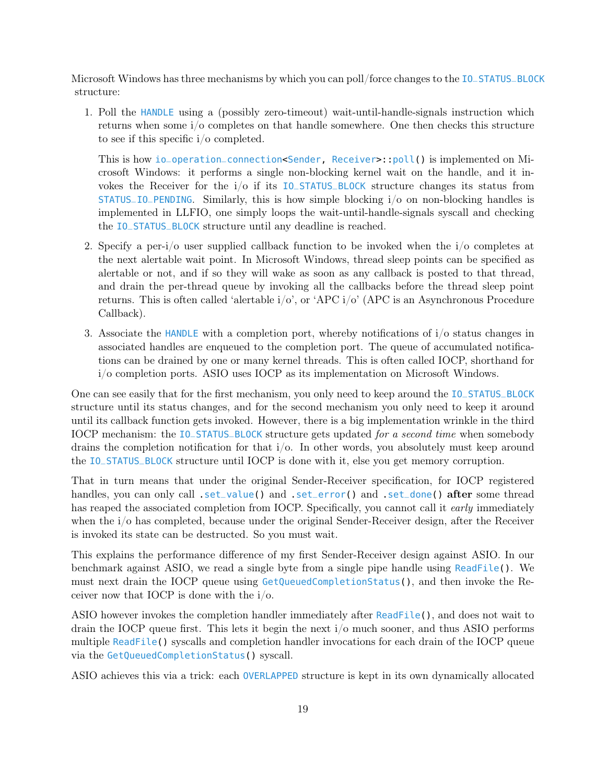Microsoft Windows has three mechanisms by which you can poll/force changes to the IO\_STATUS\_BLOCK structure:

1. Poll the HANDLE using a (possibly zero-timeout) wait-until-handle-signals instruction which returns when some i/o completes on that handle somewhere. One then checks this structure to see if this specific i/o completed.

This is how io\_operation\_connection<Sender, Receiver>::poll() is implemented on Microsoft Windows: it performs a single non-blocking kernel wait on the handle, and it invokes the Receiver for the i/o if its IO\_STATUS\_BLOCK structure changes its status from STATUS\_IO\_PENDING. Similarly, this is how simple blocking i/o on non-blocking handles is implemented in LLFIO, one simply loops the wait-until-handle-signals syscall and checking the IO\_STATUS\_BLOCK structure until any deadline is reached.

- 2. Specify a per-i/o user supplied callback function to be invoked when the i/o completes at the next alertable wait point. In Microsoft Windows, thread sleep points can be specified as alertable or not, and if so they will wake as soon as any callback is posted to that thread, and drain the per-thread queue by invoking all the callbacks before the thread sleep point returns. This is often called 'alertable  $i/\circ$ ', or 'APC  $i/\circ$ ' (APC is an Asynchronous Procedure Callback).
- 3. Associate the HANDLE with a completion port, whereby notifications of i/o status changes in associated handles are enqueued to the completion port. The queue of accumulated notifications can be drained by one or many kernel threads. This is often called IOCP, shorthand for i/o completion ports. ASIO uses IOCP as its implementation on Microsoft Windows.

One can see easily that for the first mechanism, you only need to keep around the IO\_STATUS\_BLOCK structure until its status changes, and for the second mechanism you only need to keep it around until its callback function gets invoked. However, there is a big implementation wrinkle in the third IOCP mechanism: the IO\_STATUS\_BLOCK structure gets updated for a second time when somebody drains the completion notification for that  $i/\sigma$ . In other words, you absolutely must keep around the IO\_STATUS\_BLOCK structure until IOCP is done with it, else you get memory corruption.

That in turn means that under the original Sender-Receiver specification, for IOCP registered handles, you can only call .set\_value() and .set\_error() and .set\_done() after some thread has reaped the associated completion from IOCP. Specifically, you cannot call it early immediately when the i/o has completed, because under the original Sender-Receiver design, after the Receiver is invoked its state can be destructed. So you must wait.

This explains the performance difference of my first Sender-Receiver design against ASIO. In our benchmark against ASIO, we read a single byte from a single pipe handle using ReadFile(). We must next drain the IOCP queue using GetQueuedCompletionStatus(), and then invoke the Receiver now that IOCP is done with the i/o.

ASIO however invokes the completion handler immediately after ReadFile(), and does not wait to drain the IOCP queue first. This lets it begin the next i/o much sooner, and thus ASIO performs multiple ReadFile() syscalls and completion handler invocations for each drain of the IOCP queue via the GetQueuedCompletionStatus() syscall.

ASIO achieves this via a trick: each OVERLAPPED structure is kept in its own dynamically allocated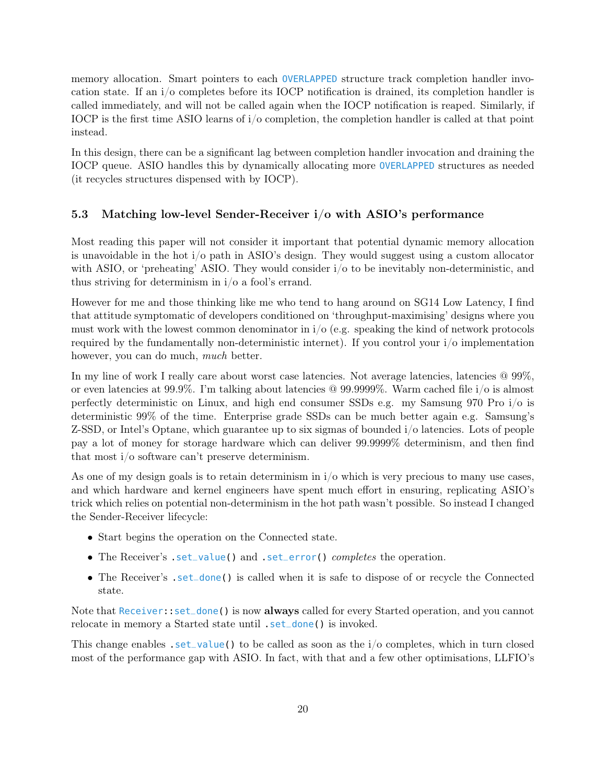memory allocation. Smart pointers to each OVERLAPPED structure track completion handler invocation state. If an i/o completes before its IOCP notification is drained, its completion handler is called immediately, and will not be called again when the IOCP notification is reaped. Similarly, if IOCP is the first time ASIO learns of  $i/\sigma$  completion, the completion handler is called at that point instead.

In this design, there can be a significant lag between completion handler invocation and draining the IOCP queue. ASIO handles this by dynamically allocating more OVERLAPPED structures as needed (it recycles structures dispensed with by IOCP).

#### <span id="page-19-0"></span>5.3 Matching low-level Sender-Receiver i/o with ASIO's performance

Most reading this paper will not consider it important that potential dynamic memory allocation is unavoidable in the hot i/o path in ASIO's design. They would suggest using a custom allocator with ASIO, or 'preheating' ASIO. They would consider  $i/\sigma$  to be inevitably non-deterministic, and thus striving for determinism in i/o a fool's errand.

However for me and those thinking like me who tend to hang around on SG14 Low Latency, I find that attitude symptomatic of developers conditioned on 'throughput-maximising' designs where you must work with the lowest common denominator in  $i/\sigma$  (e.g. speaking the kind of network protocols required by the fundamentally non-deterministic internet). If you control your  $i/\sigma$  implementation however, you can do much, *much* better.

In my line of work I really care about worst case latencies. Not average latencies, latencies @ 99%, or even latencies at 99.9%. I'm talking about latencies @ 99.9999%. Warm cached file i/o is almost perfectly deterministic on Linux, and high end consumer SSDs e.g. my Samsung 970 Pro i/o is deterministic 99% of the time. Enterprise grade SSDs can be much better again e.g. Samsung's Z-SSD, or Intel's Optane, which guarantee up to six sigmas of bounded i/o latencies. Lots of people pay a lot of money for storage hardware which can deliver 99.9999% determinism, and then find that most i/o software can't preserve determinism.

As one of my design goals is to retain determinism in  $i/\sigma$  which is very precious to many use cases, and which hardware and kernel engineers have spent much effort in ensuring, replicating ASIO's trick which relies on potential non-determinism in the hot path wasn't possible. So instead I changed the Sender-Receiver lifecycle:

- Start begins the operation on the Connected state.
- The Receiver's set\_value() and set\_error() completes the operation.
- The Receiver's set\_done() is called when it is safe to dispose of or recycle the Connected state.

Note that Receiver: set\_done() is now **always** called for every Started operation, and you cannot relocate in memory a Started state until  $.set\_done()$  is invoked.

This change enables  $.set_value()$  to be called as soon as the  $i/o$  completes, which in turn closed most of the performance gap with ASIO. In fact, with that and a few other optimisations, LLFIO's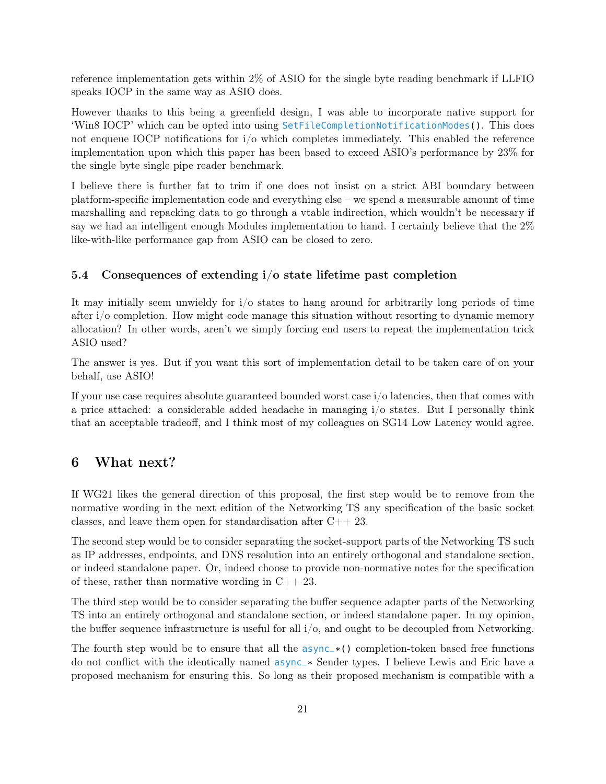reference implementation gets within 2% of ASIO for the single byte reading benchmark if LLFIO speaks IOCP in the same way as ASIO does.

However thanks to this being a greenfield design, I was able to incorporate native support for 'Win8 IOCP' which can be opted into using SetFileCompletionNotificationModes(). This does not enqueue IOCP notifications for i/o which completes immediately. This enabled the reference implementation upon which this paper has been based to exceed ASIO's performance by 23% for the single byte single pipe reader benchmark.

I believe there is further fat to trim if one does not insist on a strict ABI boundary between platform-specific implementation code and everything else – we spend a measurable amount of time marshalling and repacking data to go through a vtable indirection, which wouldn't be necessary if say we had an intelligent enough Modules implementation to hand. I certainly believe that the 2% like-with-like performance gap from ASIO can be closed to zero.

#### <span id="page-20-0"></span>5.4 Consequences of extending i/o state lifetime past completion

It may initially seem unwieldy for i/o states to hang around for arbitrarily long periods of time after i/o completion. How might code manage this situation without resorting to dynamic memory allocation? In other words, aren't we simply forcing end users to repeat the implementation trick ASIO used?

The answer is yes. But if you want this sort of implementation detail to be taken care of on your behalf, use ASIO!

If your use case requires absolute guaranteed bounded worst case i/o latencies, then that comes with a price attached: a considerable added headache in managing i/o states. But I personally think that an acceptable tradeoff, and I think most of my colleagues on SG14 Low Latency would agree.

## <span id="page-20-1"></span>6 What next?

If WG21 likes the general direction of this proposal, the first step would be to remove from the normative wording in the next edition of the Networking TS any specification of the basic socket classes, and leave them open for standardisation after C++ 23.

The second step would be to consider separating the socket-support parts of the Networking TS such as IP addresses, endpoints, and DNS resolution into an entirely orthogonal and standalone section, or indeed standalone paper. Or, indeed choose to provide non-normative notes for the specification of these, rather than normative wording in  $C_{++}$  23.

The third step would be to consider separating the buffer sequence adapter parts of the Networking TS into an entirely orthogonal and standalone section, or indeed standalone paper. In my opinion, the buffer sequence infrastructure is useful for all i/o, and ought to be decoupled from Networking.

The fourth step would be to ensure that all the  $\frac{asyn}{\epsilon}$  () completion-token based free functions do not conflict with the identically named async\_\* Sender types. I believe Lewis and Eric have a proposed mechanism for ensuring this. So long as their proposed mechanism is compatible with a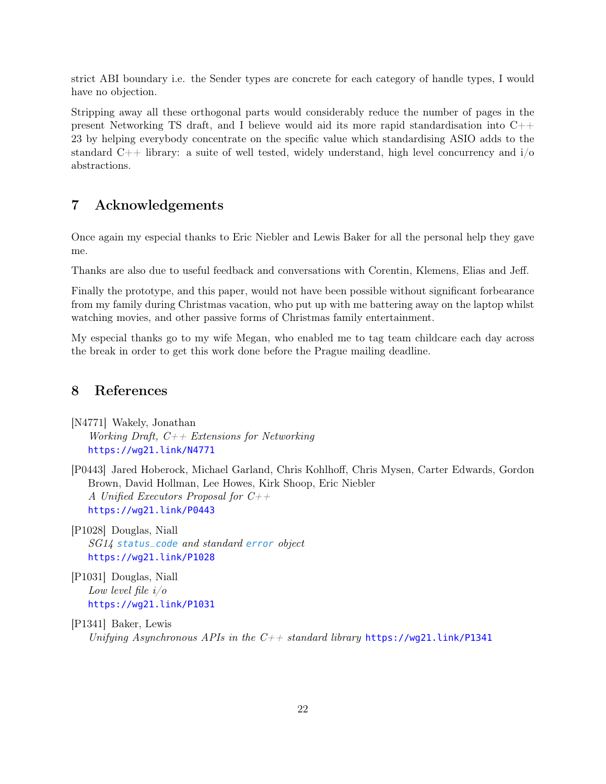strict ABI boundary i.e. the Sender types are concrete for each category of handle types, I would have no objection.

Stripping away all these orthogonal parts would considerably reduce the number of pages in the present Networking TS draft, and I believe would aid its more rapid standardisation into  $C++$ 23 by helping everybody concentrate on the specific value which standardising ASIO adds to the standard  $C_{++}$  library: a suite of well tested, widely understand, high level concurrency and  $i/\sigma$ abstractions.

## <span id="page-21-3"></span>7 Acknowledgements

Once again my especial thanks to Eric Niebler and Lewis Baker for all the personal help they gave me.

Thanks are also due to useful feedback and conversations with Corentin, Klemens, Elias and Jeff.

Finally the prototype, and this paper, would not have been possible without significant forbearance from my family during Christmas vacation, who put up with me battering away on the laptop whilst watching movies, and other passive forms of Christmas family entertainment.

My especial thanks go to my wife Megan, who enabled me to tag team childcare each day across the break in order to get this work done before the Prague mailing deadline.

## <span id="page-21-4"></span>8 References

<span id="page-21-2"></span>[N4771] Wakely, Jonathan Working Draft,  $C_{++}$  Extensions for Networking <https://wg21.link/N4771>

<span id="page-21-5"></span>[P0443] Jared Hoberock, Michael Garland, Chris Kohlhoff, Chris Mysen, Carter Edwards, Gordon Brown, David Hollman, Lee Howes, Kirk Shoop, Eric Niebler A Unified Executors Proposal for  $C_{++}$ <https://wg21.link/P0443>

<span id="page-21-6"></span>[P1028] Douglas, Niall SG14 status\_code and standard error object <https://wg21.link/P1028>

<span id="page-21-0"></span>[P1031] Douglas, Niall Low level file i/o <https://wg21.link/P1031>

<span id="page-21-1"></span>[P1341] Baker, Lewis Unifying Asynchronous APIs in the  $C++$  standard library <https://wg21.link/P1341>